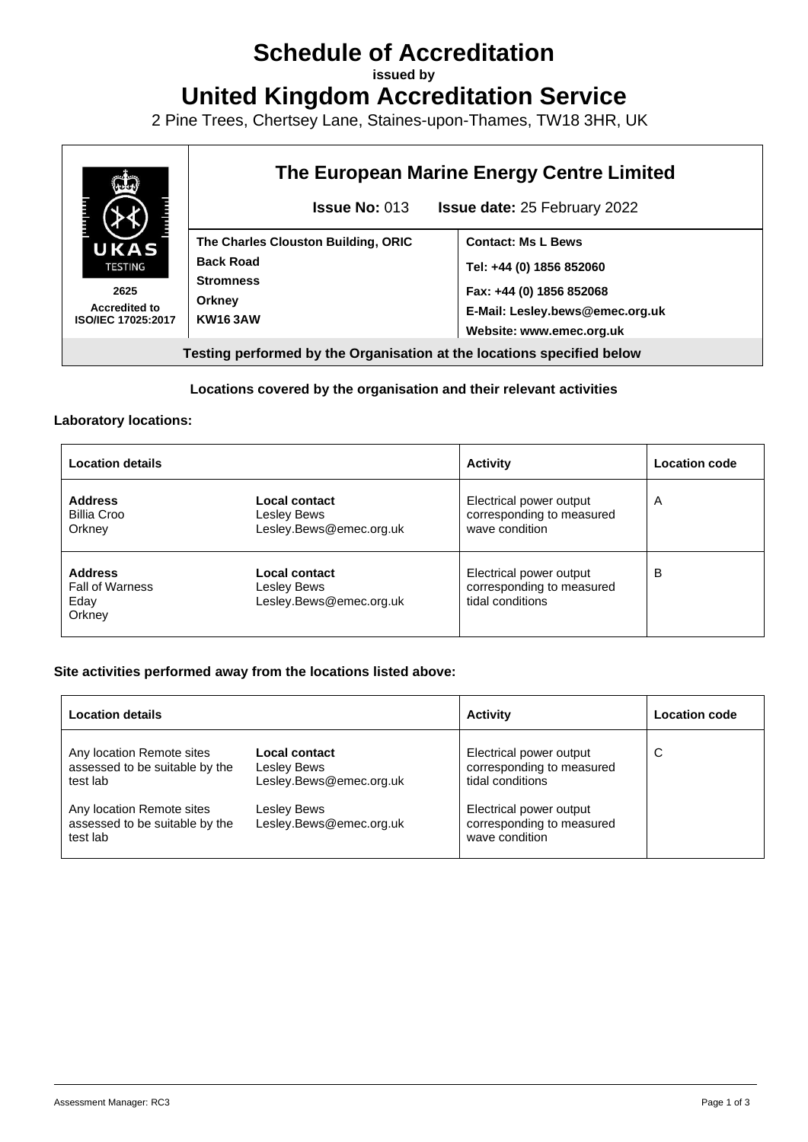# **Schedule of Accreditation**

**issued by**

**United Kingdom Accreditation Service**

2 Pine Trees, Chertsey Lane, Staines-upon-Thames, TW18 3HR, UK



### **Locations covered by the organisation and their relevant activities**

#### **Laboratory locations:**

| <b>Location details</b>                                    |                                                         | <b>Activity</b>                                                          | <b>Location code</b> |
|------------------------------------------------------------|---------------------------------------------------------|--------------------------------------------------------------------------|----------------------|
| <b>Address</b><br><b>Billia Croo</b><br>Orkney             | Local contact<br>Lesley Bews<br>Lesley.Bews@emec.org.uk | Electrical power output<br>corresponding to measured<br>wave condition   | A                    |
| <b>Address</b><br><b>Fall of Warness</b><br>Eday<br>Orkney | Local contact<br>Lesley Bews<br>Lesley.Bews@emec.org.uk | Electrical power output<br>corresponding to measured<br>tidal conditions | B                    |

#### **Site activities performed away from the locations listed above:**

| <b>Location details</b>                                                                                                                            |                                                                                                   | <b>Activity</b>                                                                                                                                    | <b>Location code</b> |
|----------------------------------------------------------------------------------------------------------------------------------------------------|---------------------------------------------------------------------------------------------------|----------------------------------------------------------------------------------------------------------------------------------------------------|----------------------|
| Any location Remote sites<br>assessed to be suitable by the<br>test lab<br>Any location Remote sites<br>assessed to be suitable by the<br>test lab | Local contact<br>Lesley Bews<br>Lesley.Bews@emec.org.uk<br>Lesley Bews<br>Lesley.Bews@emec.org.uk | Electrical power output<br>corresponding to measured<br>tidal conditions<br>Electrical power output<br>corresponding to measured<br>wave condition | C                    |
|                                                                                                                                                    |                                                                                                   |                                                                                                                                                    |                      |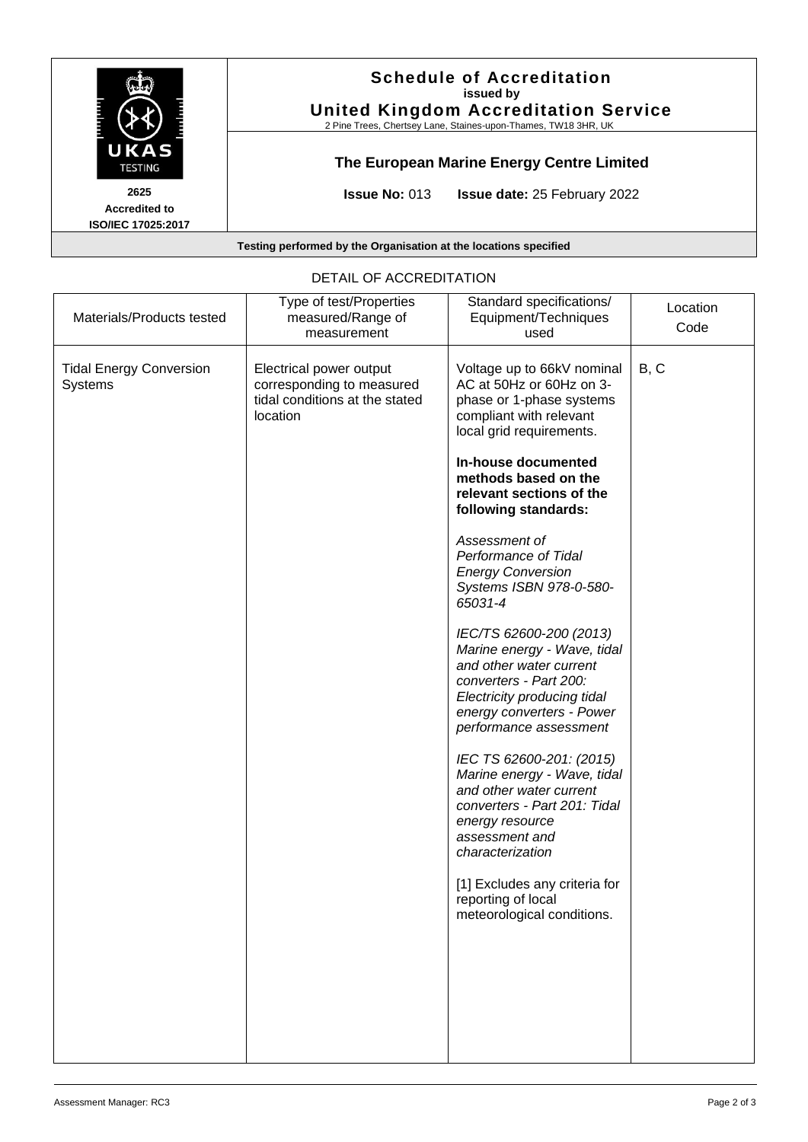

| Materials/Products tested                        | Type of test/Properties<br>measured/Range of<br>measurement                                        | Standard specifications/<br>Equipment/Techniques<br>used                                                                                                                                                                                                                                                                                                                                                                                                                                                                                                                                                                                                                                                                                                                                                                         | Location<br>Code |
|--------------------------------------------------|----------------------------------------------------------------------------------------------------|----------------------------------------------------------------------------------------------------------------------------------------------------------------------------------------------------------------------------------------------------------------------------------------------------------------------------------------------------------------------------------------------------------------------------------------------------------------------------------------------------------------------------------------------------------------------------------------------------------------------------------------------------------------------------------------------------------------------------------------------------------------------------------------------------------------------------------|------------------|
| <b>Tidal Energy Conversion</b><br><b>Systems</b> | Electrical power output<br>corresponding to measured<br>tidal conditions at the stated<br>location | Voltage up to 66kV nominal<br>AC at 50Hz or 60Hz on 3-<br>phase or 1-phase systems<br>compliant with relevant<br>local grid requirements.<br>In-house documented<br>methods based on the<br>relevant sections of the<br>following standards:<br>Assessment of<br>Performance of Tidal<br><b>Energy Conversion</b><br>Systems ISBN 978-0-580-<br>65031-4<br>IEC/TS 62600-200 (2013)<br>Marine energy - Wave, tidal<br>and other water current<br>converters - Part 200:<br>Electricity producing tidal<br>energy converters - Power<br>performance assessment<br>IEC TS 62600-201: (2015)<br>Marine energy - Wave, tidal<br>and other water current<br>converters - Part 201: Tidal<br>energy resource<br>assessment and<br>characterization<br>[1] Excludes any criteria for<br>reporting of local<br>meteorological conditions. | B, C             |
|                                                  |                                                                                                    |                                                                                                                                                                                                                                                                                                                                                                                                                                                                                                                                                                                                                                                                                                                                                                                                                                  |                  |

## DETAIL OF ACCREDITATION